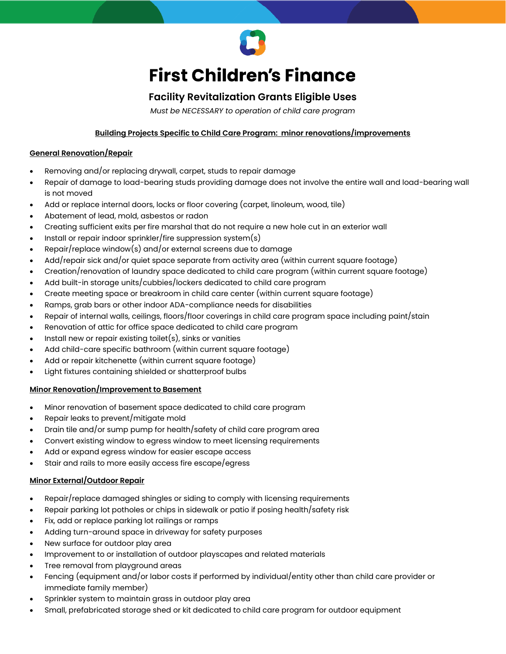

# **First Children's Finance**

# **Facility Revitalization Grants Eligible Uses**

*Must be NECESSARY to operation of child care program*

# **Building Projects Specific to Child Care Program: minor renovations/improvements**

### **General Renovation/Repair**

- Removing and/or replacing drywall, carpet, studs to repair damage
- Repair of damage to load-bearing studs providing damage does not involve the entire wall and load-bearing wall is not moved
- Add or replace internal doors, locks or floor covering (carpet, linoleum, wood, tile)
- Abatement of lead, mold, asbestos or radon
- Creating sufficient exits per fire marshal that do not require a new hole cut in an exterior wall
- Install or repair indoor sprinkler/fire suppression system(s)
- Repair/replace window(s) and/or external screens due to damage
- Add/repair sick and/or quiet space separate from activity area (within current square footage)
- Creation/renovation of laundry space dedicated to child care program (within current square footage)
- Add built-in storage units/cubbies/lockers dedicated to child care program
- Create meeting space or breakroom in child care center (within current square footage)
- Ramps, grab bars or other indoor ADA-compliance needs for disabilities
- Repair of internal walls, ceilings, floors/floor coverings in child care program space including paint/stain
- Renovation of attic for office space dedicated to child care program
- Install new or repair existing toilet $(s)$ , sinks or vanities
- Add child-care specific bathroom (within current square footage)
- Add or repair kitchenette (within current square footage)
- Light fixtures containing shielded or shatterproof bulbs

#### **Minor Renovation/Improvement to Basement**

- Minor renovation of basement space dedicated to child care program
- Repair leaks to prevent/mitigate mold
- Drain tile and/or sump pump for health/safety of child care program area
- Convert existing window to egress window to meet licensing requirements
- Add or expand egress window for easier escape access
- Stair and rails to more easily access fire escape/egress

#### **Minor External/Outdoor Repair**

- Repair/replace damaged shingles or siding to comply with licensing requirements
- Repair parking lot potholes or chips in sidewalk or patio if posing health/safety risk
- Fix, add or replace parking lot railings or ramps
- Adding turn-around space in driveway for safety purposes
- New surface for outdoor play area
- Improvement to or installation of outdoor playscapes and related materials
- Tree removal from playground areas
- Fencing (equipment and/or labor costs if performed by individual/entity other than child care provider or immediate family member)
- Sprinkler system to maintain grass in outdoor play area
- Small, prefabricated storage shed or kit dedicated to child care program for outdoor equipment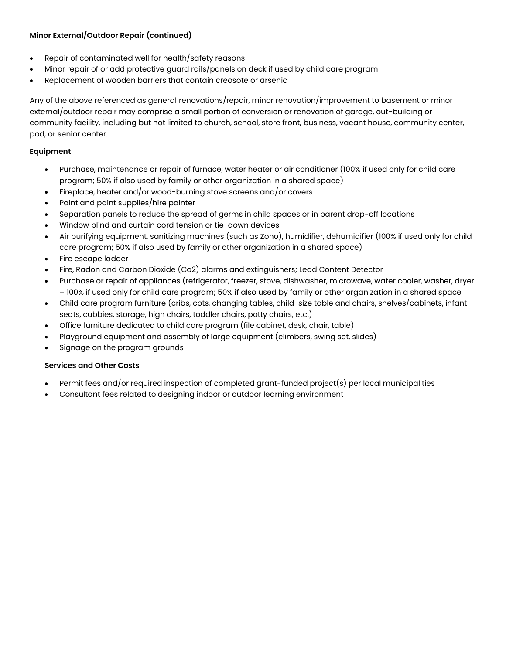# **Minor External/Outdoor Repair (continued)**

- Repair of contaminated well for health/safety reasons
- Minor repair of or add protective guard rails/panels on deck if used by child care program
- Replacement of wooden barriers that contain creosote or arsenic

Any of the above referenced as general renovations/repair, minor renovation/improvement to basement or minor external/outdoor repair may comprise a small portion of conversion or renovation of garage, out-building or community facility, including but not limited to church, school, store front, business, vacant house, community center, pod, or senior center.

# **Equipment**

- Purchase, maintenance or repair of furnace, water heater or air conditioner (100% if used only for child care program; 50% if also used by family or other organization in a shared space)
- Fireplace, heater and/or wood-burning stove screens and/or covers
- Paint and paint supplies/hire painter
- Separation panels to reduce the spread of germs in child spaces or in parent drop-off locations
- Window blind and curtain cord tension or tie-down devices
- Air purifying equipment, sanitizing machines (such as Zono), humidifier, dehumidifier (100% if used only for child care program; 50% if also used by family or other organization in a shared space)
- Fire escape ladder
- Fire, Radon and Carbon Dioxide (Co2) alarms and extinguishers; Lead Content Detector
- Purchase or repair of appliances (refrigerator, freezer, stove, dishwasher, microwave, water cooler, washer, dryer – 100% if used only for child care program; 50% if also used by family or other organization in a shared space
- Child care program furniture (cribs, cots, changing tables, child-size table and chairs, shelves/cabinets, infant seats, cubbies, storage, high chairs, toddler chairs, potty chairs, etc.)
- Office furniture dedicated to child care program (file cabinet, desk, chair, table)
- Playground equipment and assembly of large equipment (climbers, swing set, slides)
- Signage on the program grounds

# **Services and Other Costs**

- Permit fees and/or required inspection of completed grant-funded project(s) per local municipalities
- Consultant fees related to designing indoor or outdoor learning environment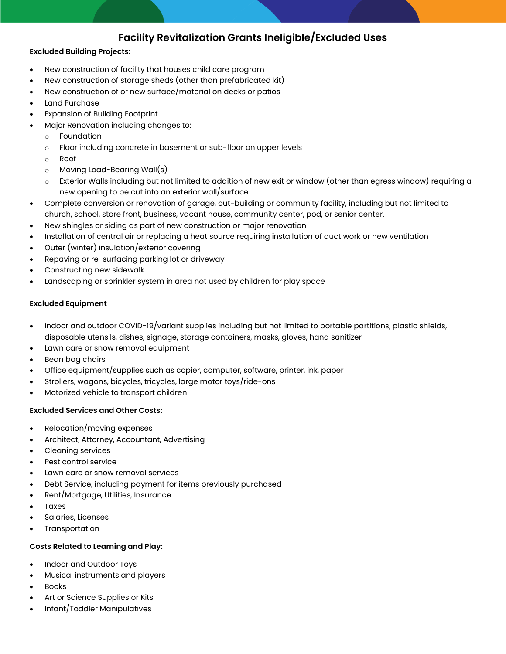# **Facility Revitalization Grants Ineligible/Excluded Uses**

### **Excluded Building Projects:**

- New construction of facility that houses child care program
- New construction of storage sheds (other than prefabricated kit)
- New construction of or new surface/material on decks or patios
- Land Purchase
- Expansion of Building Footprint
- Major Renovation including changes to:
	- Foundation
	- o Floor including concrete in basement or sub-floor on upper levels
	- o Roof
	- o Moving Load-Bearing Wall(s)
	- $\circ$  Exterior Walls including but not limited to addition of new exit or window (other than egress window) requiring a new opening to be cut into an exterior wall/surface
- Complete conversion or renovation of garage, out-building or community facility, including but not limited to church, school, store front, business, vacant house, community center, pod, or senior center.
- New shingles or siding as part of new construction or major renovation
- Installation of central air or replacing a heat source requiring installation of duct work or new ventilation
- Outer (winter) insulation/exterior covering
- Repaving or re-surfacing parking lot or driveway
- Constructing new sidewalk
- Landscaping or sprinkler system in area not used by children for play space

#### **Excluded Equipment**

- Indoor and outdoor COVID-19/variant supplies including but not limited to portable partitions, plastic shields, disposable utensils, dishes, signage, storage containers, masks, gloves, hand sanitizer
- Lawn care or snow removal equipment
- Bean bag chairs
- Office equipment/supplies such as copier, computer, software, printer, ink, paper
- Strollers, wagons, bicycles, tricycles, large motor toys/ride-ons
- Motorized vehicle to transport children

# **Excluded Services and Other Costs:**

- Relocation/moving expenses
- Architect, Attorney, Accountant, Advertising
- Cleaning services
- Pest control service
- Lawn care or snow removal services
- Debt Service, including payment for items previously purchased
- Rent/Mortgage, Utilities, Insurance
- **Taxes**
- Salaries, Licenses
- **Transportation**

#### **Costs Related to Learning and Play:**

- Indoor and Outdoor Toys
- Musical instruments and players
- **Books**
- Art or Science Supplies or Kits
- Infant/Toddler Manipulatives